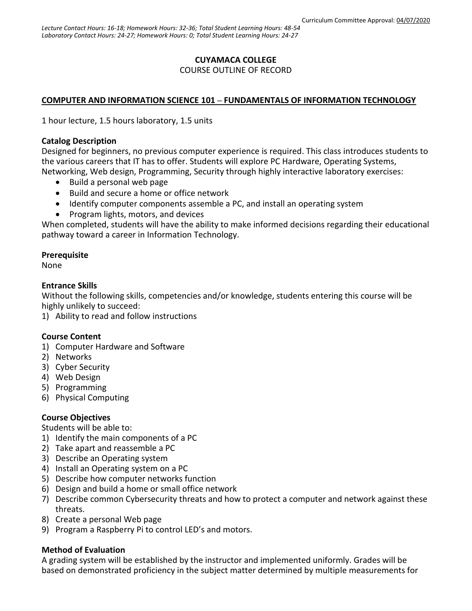# **CUYAMACA COLLEGE** COURSE OUTLINE OF RECORD

# **COMPUTER AND INFORMATION SCIENCE 101 – FUNDAMENTALS OF INFORMATION TECHNOLOGY**

1 hour lecture, 1.5 hours laboratory, 1.5 units

## **Catalog Description**

Designed for beginners, no previous computer experience is required. This class introduces students to the various careers that IT has to offer. Students will explore PC Hardware, Operating Systems, Networking, Web design, Programming, Security through highly interactive laboratory exercises:

- Build a personal web page
- Build and secure a home or office network
- Identify computer components assemble a PC, and install an operating system
- Program lights, motors, and devices

When completed, students will have the ability to make informed decisions regarding their educational pathway toward a career in Information Technology.

## **Prerequisite**

None

## **Entrance Skills**

Without the following skills, competencies and/or knowledge, students entering this course will be highly unlikely to succeed:

1) Ability to read and follow instructions

#### **Course Content**

- 1) Computer Hardware and Software
- 2) Networks
- 3) Cyber Security
- 4) Web Design
- 5) Programming
- 6) Physical Computing

## **Course Objectives**

Students will be able to:

- 1) Identify the main components of a PC
- 2) Take apart and reassemble a PC
- 3) Describe an Operating system
- 4) Install an Operating system on a PC
- 5) Describe how computer networks function
- 6) Design and build a home or small office network
- 7) Describe common Cybersecurity threats and how to protect a computer and network against these threats.
- 8) Create a personal Web page
- 9) Program a Raspberry Pi to control LED's and motors.

## **Method of Evaluation**

A grading system will be established by the instructor and implemented uniformly. Grades will be based on demonstrated proficiency in the subject matter determined by multiple measurements for